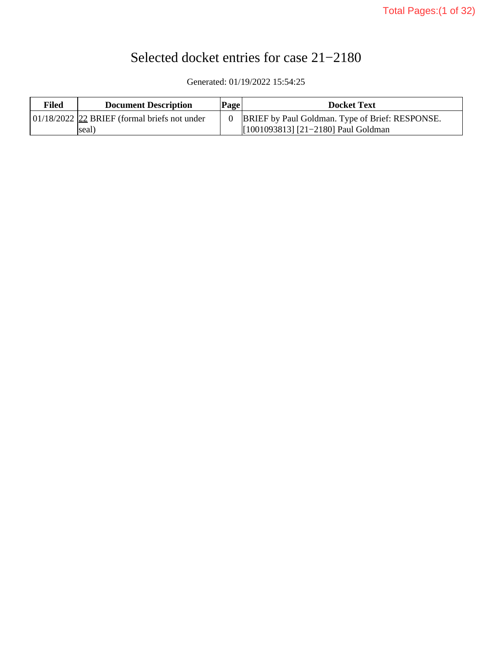# Selected docket entries for case 21−2180

Generated: 01/19/2022 15:54:25

| Filed | <b>Document Description</b>                      | <b>Page</b> | <b>Docket Text</b>                                     |
|-------|--------------------------------------------------|-------------|--------------------------------------------------------|
|       | $01/18/2022$ $22$ BRIEF (formal briefs not under |             | <b>BRIEF</b> by Paul Goldman. Type of Brief: RESPONSE. |
|       | seal)                                            |             | [1001093813] [21-2180] Paul Goldman                    |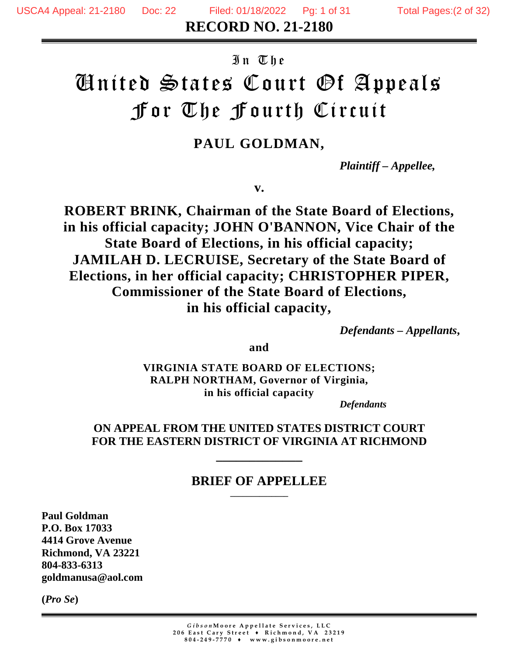**RECORD NO. 21-2180**

## In The

# United States Court Of Appeals For The Fourth Circuit

# **PAUL GOLDMAN,**

*Plaintiff – Appellee,*

**v.** 

**ROBERT BRINK, Chairman of the State Board of Elections, in his official capacity; JOHN O'BANNON, Vice Chair of the State Board of Elections, in his official capacity; JAMILAH D. LECRUISE, Secretary of the State Board of Elections, in her official capacity; CHRISTOPHER PIPER, Commissioner of the State Board of Elections, in his official capacity,**

*Defendants – Appellants***,**

**and**

**VIRGINIA STATE BOARD OF ELECTIONS; RALPH NORTHAM, Governor of Virginia, in his official capacity**

*Defendants*

## **ON APPEAL FROM THE UNITED STATES DISTRICT COURT FOR THE EASTERN DISTRICT OF VIRGINIA AT RICHMOND**

**\_\_\_\_\_\_\_\_\_\_\_\_\_**

#### **BRIEF OF APPELLEE \_\_\_\_\_\_\_\_\_\_\_\_\_\_**

**Paul Goldman P.O. Box 17033 4414 Grove Avenue Richmond, VA 23221 804-833-6313 goldmanusa@aol.com**

**(***Pro Se***)**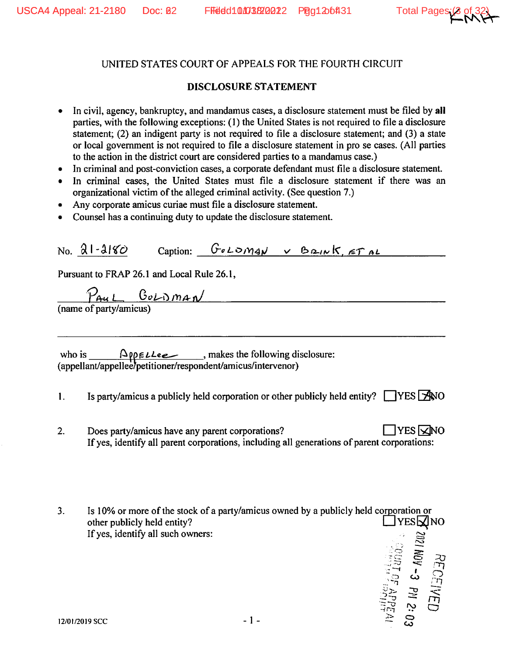#### UNITED STATES COURT OF APPEALS FOR THE FOURTH CIRCUIT

#### **DISCLOSURE STATEMENT**

- In civil, agency, bankruptcy, and mandamus cases, a disclosure statement must be filed by all parties, with the following exceptions: (1) the United States is not required to file a disclosure statement; (2) an indigent party is not required to file a disclosure statement; and (3) a state or local government is not required to file a disclosure statement in pro se cases. (All parties to the action in the district court are considered parties to a mandamus case.)
- In criminal and post-conviction cases, a corporate defendant must file a disclosure statement.  $\bullet$
- In criminal cases, the United States must file a disclosure statement if there was an organizational victim of the alleged criminal activity. (See question 7.)
- Any corporate amicus curiae must file a disclosure statement.  $\bullet$
- Counsel has a continuing duty to update the disclosure statement.

Caption:  $G \circ L \circ m \circ N \vee B \circ m \circ K$ ,  $F \circ L$  $No. 21-2180$ Pursuant to FRAP 26.1 and Local Rule 26.1,  $\frac{P_{Au L} C_{oL} D_{m A N}}{(\text{name of party/amicus})}$ who is  $\sqrt{\frac{\text{op}(Lle)}{\text{op}(L|L|)}}$ , makes the following disclosure:<br>(appellant/appellee/petitioner/respondent/amicus/intervenor) Is party/amicus a publicly held corporation or other publicly held entity?  $\Box$ YES  $\Box$ WO  $\mathbf{1}$ .  $\Box$ YES  $\nabla$ NO  $2.$ Does party/amicus have any parent corporations? If yes, identify all parent corporations, including all generations of parent corporations:

 $3.$ Is 10% or more of the stock of a party/amicus owned by a publicly held corporation or other publicly held entity?  $\Box$  YES $\Box$  NO If yes, identify all such owners: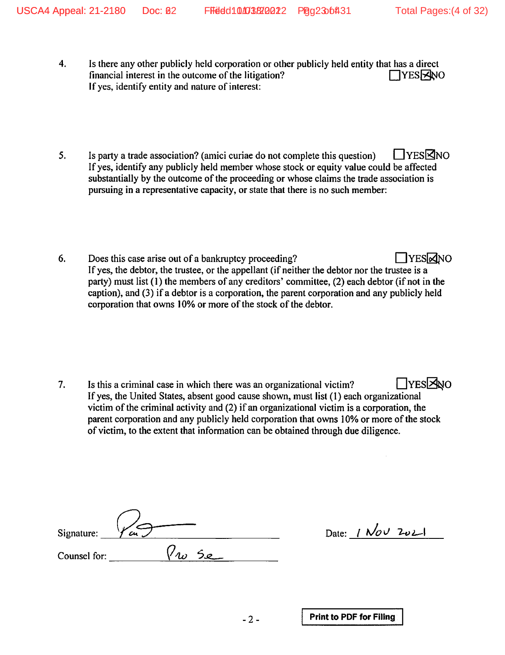- 4. Is there any other publicly held corporation or other publicly held entity that has a direct financial interest in the outcome of the litigation? **TYESRANO** If yes, identify entity and nature of interest:
- 5. □YES⊠NO Is party a trade association? (amici curiae do not complete this question) If yes, identify any publicly held member whose stock or equity value could be affected substantially by the outcome of the proceeding or whose claims the trade association is pursuing in a representative capacity, or state that there is no such member:
- 6. Does this case arise out of a bankruptcy proceeding? □YESMNO If yes, the debtor, the trustee, or the appellant (if neither the debtor nor the trustee is a party) must list (1) the members of any creditors' committee, (2) each debtor (if not in the caption), and (3) if a debtor is a corporation, the parent corporation and any publicly held corporation that owns 10% or more of the stock of the debtor.

□YESENO 7. Is this a criminal case in which there was an organizational victim? If yes, the United States, absent good cause shown, must list (1) each organizational victim of the criminal activity and (2) if an organizational victim is a corporation, the parent corporation and any publicly held corporation that owns 10% or more of the stock of victim, to the extent that information can be obtained through due diligence.

| Signature:   | Сц                                |
|--------------|-----------------------------------|
| Counsel for: | $\mathcal{O}$<br>$\mathcal{A}$ is |

Date: 1 Nov 2021

 $-2-$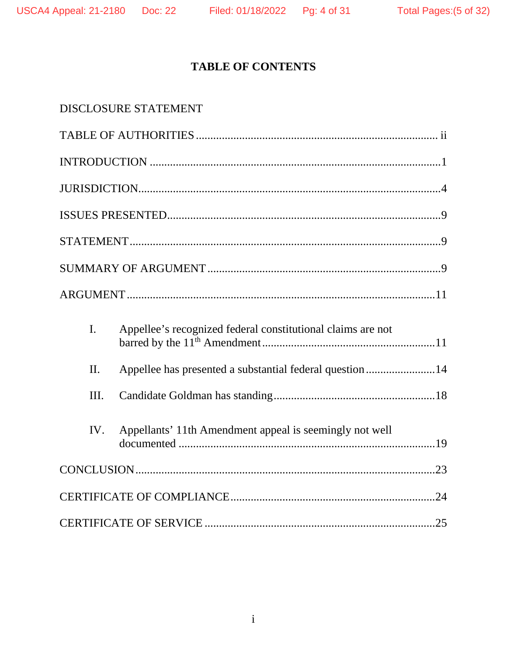# **TABLE OF CONTENTS**

| <b>DISCLOSURE STATEMENT</b>                                                   |
|-------------------------------------------------------------------------------|
|                                                                               |
|                                                                               |
|                                                                               |
|                                                                               |
|                                                                               |
|                                                                               |
|                                                                               |
| $\mathbf{I}$ .<br>Appellee's recognized federal constitutional claims are not |
| Appellee has presented a substantial federal question14<br>$\Pi$ .            |
| III.                                                                          |
| Appellants' 11th Amendment appeal is seemingly not well<br>IV.                |
|                                                                               |
|                                                                               |
|                                                                               |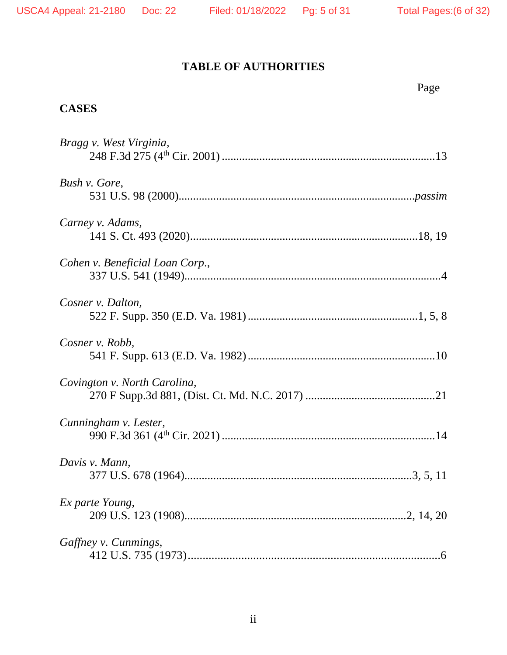# **TABLE OF AUTHORITIES**

|                                 | Page |
|---------------------------------|------|
| <b>CASES</b>                    |      |
| Bragg v. West Virginia,         |      |
| Bush v. Gore,                   |      |
| Carney v. Adams,                |      |
| Cohen v. Beneficial Loan Corp., |      |
| Cosner v. Dalton.               |      |
| Cosner v. Robb,                 |      |
| Covington v. North Carolina,    |      |
| Cunningham v. Lester,           |      |
| Davis v. Mann,                  |      |
| Ex parte Young,                 |      |
| Gaffney v. Cunmings,            |      |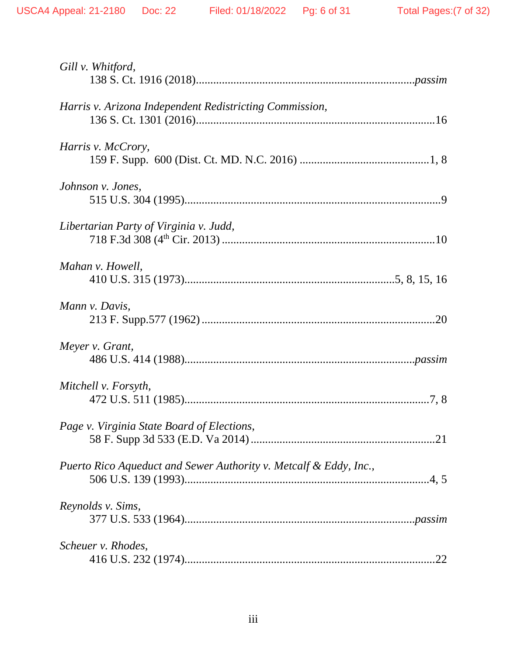| Gill v. Whitford,                                                 |
|-------------------------------------------------------------------|
| Harris v. Arizona Independent Redistricting Commission,           |
| Harris v. McCrory,                                                |
| Johnson v. Jones,                                                 |
| Libertarian Party of Virginia v. Judd,                            |
| Mahan v. Howell,                                                  |
| Mann v. Davis,                                                    |
| Meyer v. Grant,                                                   |
| Mitchell v. Forsyth,                                              |
| Page v. Virginia State Board of Elections,                        |
| Puerto Rico Aqueduct and Sewer Authority v. Metcalf & Eddy, Inc., |
| Reynolds v. Sims,                                                 |
| Scheuer v. Rhodes,<br>.22                                         |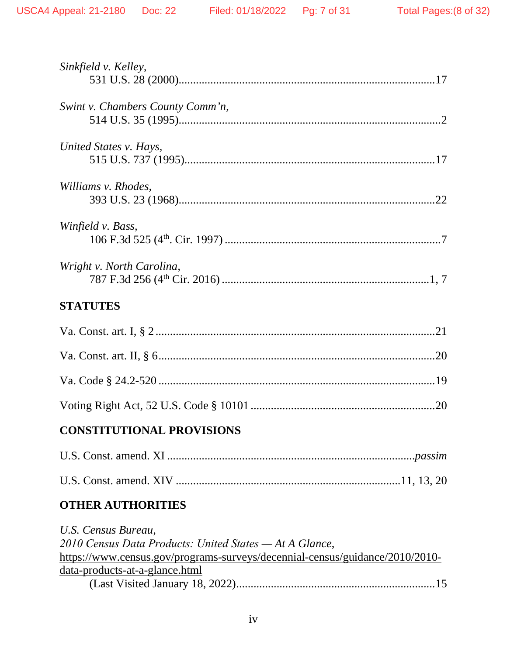| Sinkfield v. Kelley,             |
|----------------------------------|
| Swint v. Chambers County Comm'n, |
| United States v. Hays,           |
| Williams v. Rhodes,              |
| Winfield v. Bass,                |
| Wright v. North Carolina,        |
| <b>STATUTES</b>                  |
|                                  |
|                                  |
|                                  |
|                                  |
| .20                              |
| <b>CONSTITUTIONAL PROVISIONS</b> |
|                                  |
|                                  |
| <b>OTHER AUTHORITIES</b>         |

[data-products-at-a-glance.html](https://www.census.gov/programs-surveys/decennial-census/guidance/2010/2010-data-products-at-a-glance.html) (Last Visited January 18, 2022).....................................................................15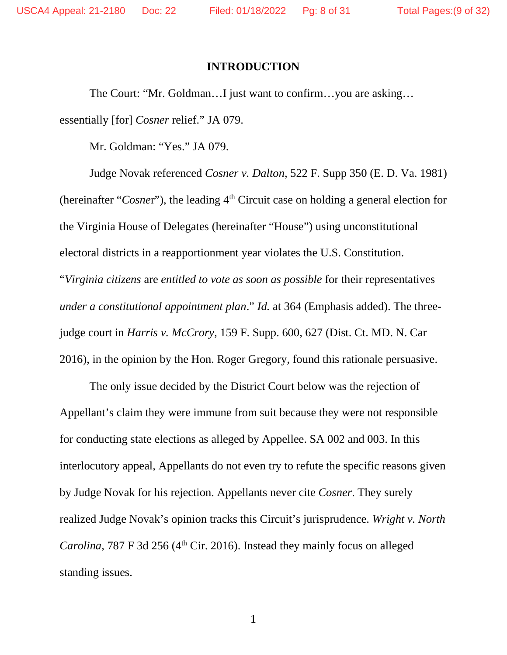#### **INTRODUCTION**

The Court: "Mr. Goldman…I just want to confirm…you are asking… essentially [for] *Cosner* relief." JA 079.

Mr. Goldman: "Yes." JA 079.

Judge Novak referenced *Cosner v. Dalton,* 522 F. Supp 350 (E. D. Va. 1981) (hereinafter "*Cosner*"), the leading 4<sup>th</sup> Circuit case on holding a general election for the Virginia House of Delegates (hereinafter "House") using unconstitutional electoral districts in a reapportionment year violates the U.S. Constitution. "*Virginia citizens* are *entitled to vote as soon as possible* for their representatives *under a constitutional appointment plan*." *Id.* at 364 (Emphasis added). The threejudge court in *Harris v. McCrory*, 159 F. Supp. 600, 627 (Dist. Ct. MD. N. Car 2016), in the opinion by the Hon. Roger Gregory, found this rationale persuasive.

The only issue decided by the District Court below was the rejection of Appellant's claim they were immune from suit because they were not responsible for conducting state elections as alleged by Appellee. SA 002 and 003. In this interlocutory appeal, Appellants do not even try to refute the specific reasons given by Judge Novak for his rejection. Appellants never cite *Cosner*. They surely realized Judge Novak's opinion tracks this Circuit's jurisprudence. *Wright v. North Carolina*, 787 F 3d 256 (4<sup>th</sup> Cir. 2016). Instead they mainly focus on alleged standing issues.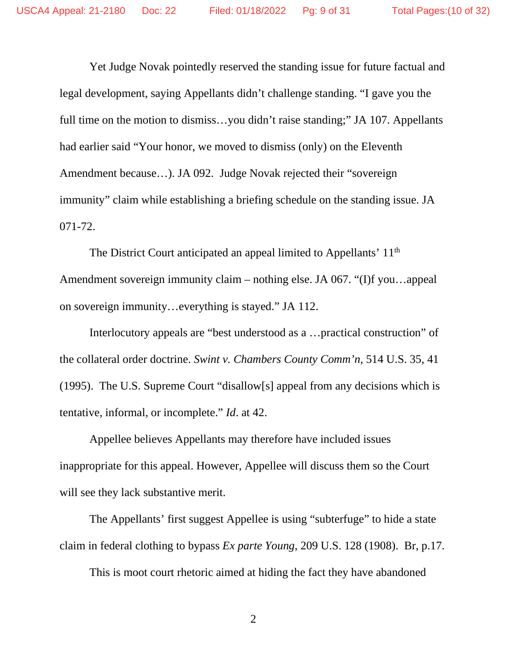Yet Judge Novak pointedly reserved the standing issue for future factual and legal development, saying Appellants didn't challenge standing. "I gave you the full time on the motion to dismiss…you didn't raise standing;" JA 107. Appellants had earlier said "Your honor, we moved to dismiss (only) on the Eleventh Amendment because…). JA 092. Judge Novak rejected their "sovereign immunity" claim while establishing a briefing schedule on the standing issue. JA 071-72.

The District Court anticipated an appeal limited to Appellants' 11<sup>th</sup> Amendment sovereign immunity claim – nothing else. JA 067. "(I)f you…appeal on sovereign immunity…everything is stayed." JA 112.

Interlocutory appeals are "best understood as a …practical construction" of the collateral order doctrine. *Swint v. Chambers County Comm'n*, 514 U.S. 35, 41 (1995). The U.S. Supreme Court "disallow[s] appeal from any decisions which is tentative, informal, or incomplete." *Id*. at 42.

Appellee believes Appellants may therefore have included issues inappropriate for this appeal. However, Appellee will discuss them so the Court will see they lack substantive merit.

The Appellants' first suggest Appellee is using "subterfuge" to hide a state claim in federal clothing to bypass *Ex parte Young*, 209 U.S. 128 (1908). Br, p.17.

This is moot court rhetoric aimed at hiding the fact they have abandoned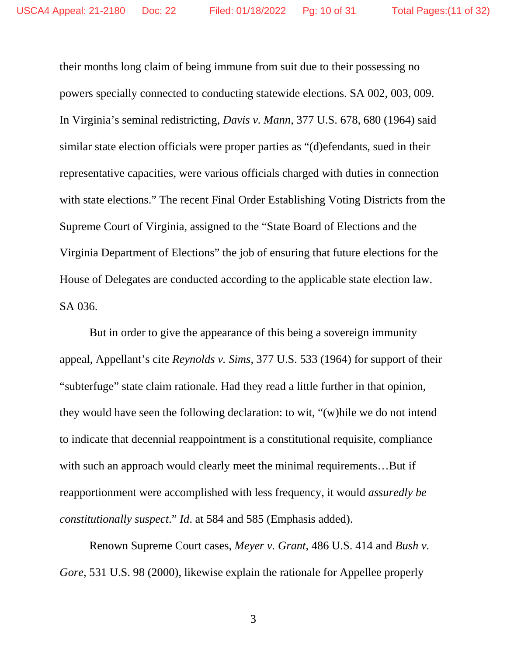their months long claim of being immune from suit due to their possessing no powers specially connected to conducting statewide elections. SA 002, 003, 009. In Virginia's seminal redistricting, *Davis v. Mann*, 377 U.S. 678, 680 (1964) said similar state election officials were proper parties as "(d)efendants, sued in their representative capacities, were various officials charged with duties in connection with state elections." The recent Final Order Establishing Voting Districts from the Supreme Court of Virginia, assigned to the "State Board of Elections and the Virginia Department of Elections" the job of ensuring that future elections for the House of Delegates are conducted according to the applicable state election law. SA 036.

But in order to give the appearance of this being a sovereign immunity appeal, Appellant's cite *Reynolds v. Sims,* 377 U.S. 533 (1964) for support of their "subterfuge" state claim rationale. Had they read a little further in that opinion, they would have seen the following declaration: to wit, "(w)hile we do not intend to indicate that decennial reappointment is a constitutional requisite, compliance with such an approach would clearly meet the minimal requirements...But if reapportionment were accomplished with less frequency, it would *assuredly be constitutionally suspect*." *Id*. at 584 and 585 (Emphasis added).

Renown Supreme Court cases, *Meyer v. Grant*, 486 U.S. 414 and *Bush v. Gore*, 531 U.S. 98 (2000), likewise explain the rationale for Appellee properly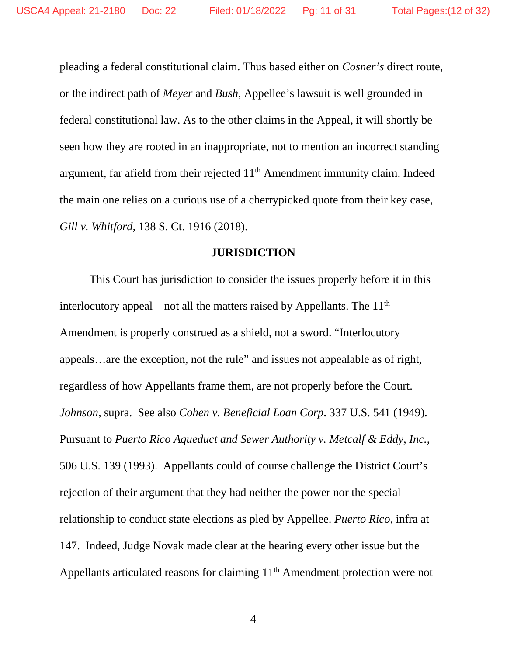pleading a federal constitutional claim. Thus based either on *Cosner's* direct route, or the indirect path of *Meyer* and *Bush*, Appellee's lawsuit is well grounded in federal constitutional law. As to the other claims in the Appeal, it will shortly be seen how they are rooted in an inappropriate, not to mention an incorrect standing argument, far afield from their rejected  $11<sup>th</sup>$  Amendment immunity claim. Indeed the main one relies on a curious use of a cherrypicked quote from their key case, *Gill v. Whitford*, 138 S. Ct. 1916 (2018).

#### **JURISDICTION**

This Court has jurisdiction to consider the issues properly before it in this interlocutory appeal – not all the matters raised by Appellants. The  $11<sup>th</sup>$ Amendment is properly construed as a shield, not a sword. "Interlocutory appeals…are the exception, not the rule" and issues not appealable as of right, regardless of how Appellants frame them, are not properly before the Court. *Johnson*, supra. See also *Cohen v. Beneficial Loan Corp*. 337 U.S. 541 (1949). Pursuant to *Puerto Rico Aqueduct and Sewer Authority v. Metcalf & Eddy, Inc.*, 506 U.S. 139 (1993). Appellants could of course challenge the District Court's rejection of their argument that they had neither the power nor the special relationship to conduct state elections as pled by Appellee. *Puerto Rico*, infra at 147. Indeed, Judge Novak made clear at the hearing every other issue but the Appellants articulated reasons for claiming 11<sup>th</sup> Amendment protection were not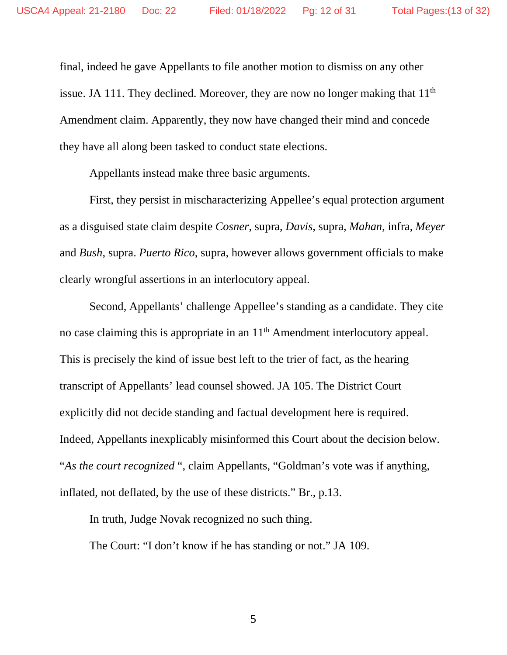final, indeed he gave Appellants to file another motion to dismiss on any other issue. JA 111. They declined. Moreover, they are now no longer making that  $11<sup>th</sup>$ Amendment claim. Apparently, they now have changed their mind and concede they have all along been tasked to conduct state elections.

Appellants instead make three basic arguments.

First, they persist in mischaracterizing Appellee's equal protection argument as a disguised state claim despite *Cosner*, supra, *Davis*, supra, *Mahan*, infra, *Meyer* and *Bush*, supra. *Puerto Rico*, supra, however allows government officials to make clearly wrongful assertions in an interlocutory appeal.

Second, Appellants' challenge Appellee's standing as a candidate. They cite no case claiming this is appropriate in an  $11<sup>th</sup>$  Amendment interlocutory appeal. This is precisely the kind of issue best left to the trier of fact, as the hearing transcript of Appellants' lead counsel showed. JA 105. The District Court explicitly did not decide standing and factual development here is required. Indeed, Appellants inexplicably misinformed this Court about the decision below. "*As the court recognized* ", claim Appellants, "Goldman's vote was if anything, inflated, not deflated, by the use of these districts." Br., p.13.

In truth, Judge Novak recognized no such thing.

The Court: "I don't know if he has standing or not." JA 109.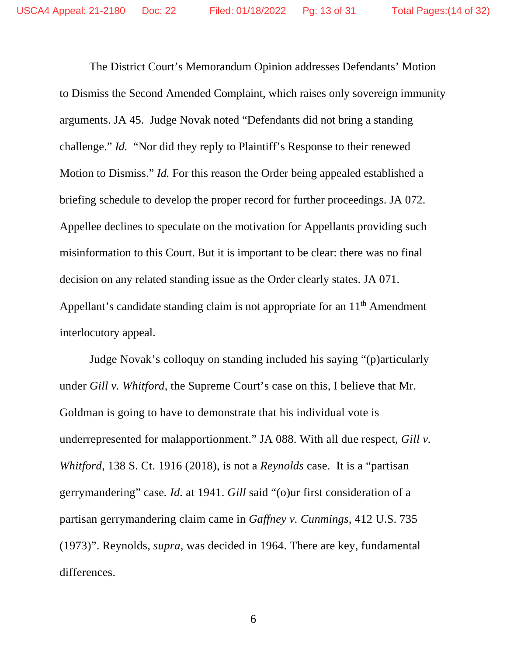The District Court's Memorandum Opinion addresses Defendants' Motion to Dismiss the Second Amended Complaint, which raises only sovereign immunity arguments. JA 45. Judge Novak noted "Defendants did not bring a standing challenge." *Id.* "Nor did they reply to Plaintiff's Response to their renewed Motion to Dismiss." *Id.* For this reason the Order being appealed established a briefing schedule to develop the proper record for further proceedings. JA 072. Appellee declines to speculate on the motivation for Appellants providing such misinformation to this Court. But it is important to be clear: there was no final decision on any related standing issue as the Order clearly states. JA 071. Appellant's candidate standing claim is not appropriate for an 11<sup>th</sup> Amendment interlocutory appeal.

Judge Novak's colloquy on standing included his saying "(p)articularly under *Gill v. Whitford*, the Supreme Court's case on this, I believe that Mr. Goldman is going to have to demonstrate that his individual vote is underrepresented for malapportionment." JA 088. With all due respect, *Gill v. Whitford*, 138 S. Ct. 1916 (2018), is not a *Reynolds* case. It is a "partisan gerrymandering" case*. Id.* at 1941. *Gill* said "(o)ur first consideration of a partisan gerrymandering claim came in *Gaffney v. Cunmings*, 412 U.S. 735 (1973)". Reynolds, *supra*, was decided in 1964. There are key, fundamental differences.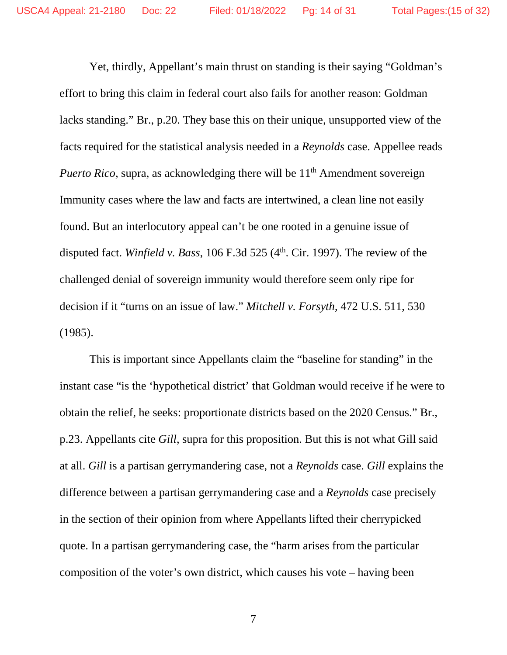Yet, thirdly, Appellant's main thrust on standing is their saying "Goldman's effort to bring this claim in federal court also fails for another reason: Goldman lacks standing." Br., p.20. They base this on their unique, unsupported view of the facts required for the statistical analysis needed in a *Reynolds* case. Appellee reads *Puerto Rico*, supra, as acknowledging there will be 11<sup>th</sup> Amendment sovereign Immunity cases where the law and facts are intertwined, a clean line not easily found. But an interlocutory appeal can't be one rooted in a genuine issue of disputed fact. *Winfield v. Bass*, 106 F.3d 525  $(4<sup>th</sup>$ . Cir. 1997). The review of the challenged denial of sovereign immunity would therefore seem only ripe for decision if it "turns on an issue of law." *Mitchell v. Forsyth*, 472 U.S. 511, 530 (1985).

This is important since Appellants claim the "baseline for standing" in the instant case "is the 'hypothetical district' that Goldman would receive if he were to obtain the relief, he seeks: proportionate districts based on the 2020 Census." Br., p.23. Appellants cite *Gill*, supra for this proposition. But this is not what Gill said at all. *Gill* is a partisan gerrymandering case, not a *Reynolds* case. *Gill* explains the difference between a partisan gerrymandering case and a *Reynolds* case precisely in the section of their opinion from where Appellants lifted their cherrypicked quote. In a partisan gerrymandering case, the "harm arises from the particular composition of the voter's own district, which causes his vote – having been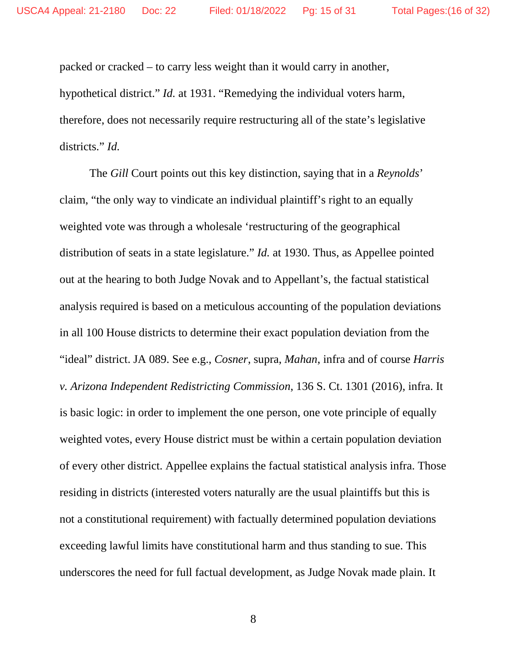packed or cracked – to carry less weight than it would carry in another, hypothetical district." *Id.* at 1931. "Remedying the individual voters harm, therefore, does not necessarily require restructuring all of the state's legislative districts." *Id.*

The *Gill* Court points out this key distinction, saying that in a *Reynolds*' claim, "the only way to vindicate an individual plaintiff's right to an equally weighted vote was through a wholesale 'restructuring of the geographical distribution of seats in a state legislature." *Id.* at 1930. Thus, as Appellee pointed out at the hearing to both Judge Novak and to Appellant's, the factual statistical analysis required is based on a meticulous accounting of the population deviations in all 100 House districts to determine their exact population deviation from the "ideal" district. JA 089. See e.g., *Cosner*, supra, *Mahan*, infra and of course *Harris v. Arizona Independent Redistricting Commission*, 136 S. Ct. 1301 (2016), infra. It is basic logic: in order to implement the one person, one vote principle of equally weighted votes, every House district must be within a certain population deviation of every other district. Appellee explains the factual statistical analysis infra. Those residing in districts (interested voters naturally are the usual plaintiffs but this is not a constitutional requirement) with factually determined population deviations exceeding lawful limits have constitutional harm and thus standing to sue. This underscores the need for full factual development, as Judge Novak made plain. It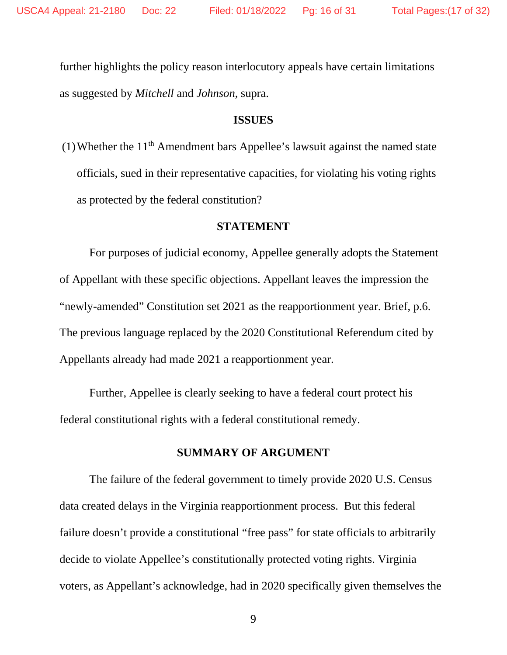further highlights the policy reason interlocutory appeals have certain limitations as suggested by *Mitchell* and *Johnson*, supra.

#### **ISSUES**

(1) Whether the  $11<sup>th</sup>$  Amendment bars Appellee's lawsuit against the named state officials, sued in their representative capacities, for violating his voting rights as protected by the federal constitution?

#### **STATEMENT**

For purposes of judicial economy, Appellee generally adopts the Statement of Appellant with these specific objections. Appellant leaves the impression the "newly-amended" Constitution set 2021 as the reapportionment year. Brief, p.6. The previous language replaced by the 2020 Constitutional Referendum cited by Appellants already had made 2021 a reapportionment year.

Further, Appellee is clearly seeking to have a federal court protect his federal constitutional rights with a federal constitutional remedy.

## **SUMMARY OF ARGUMENT**

The failure of the federal government to timely provide 2020 U.S. Census data created delays in the Virginia reapportionment process. But this federal failure doesn't provide a constitutional "free pass" for state officials to arbitrarily decide to violate Appellee's constitutionally protected voting rights. Virginia voters, as Appellant's acknowledge, had in 2020 specifically given themselves the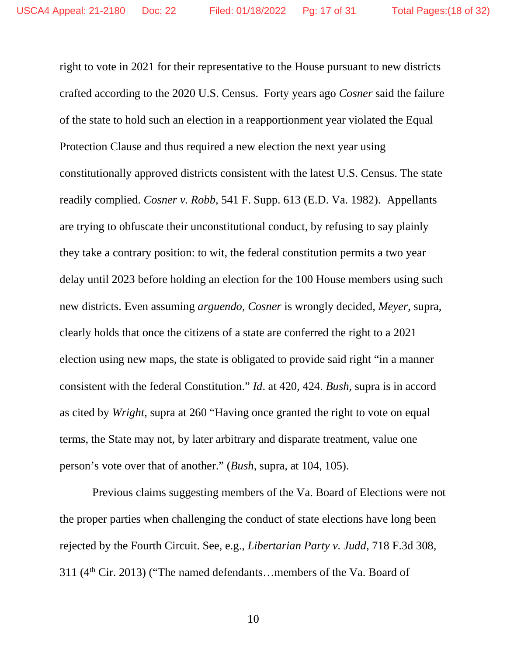right to vote in 2021 for their representative to the House pursuant to new districts crafted according to the 2020 U.S. Census. Forty years ago *Cosner* said the failure of the state to hold such an election in a reapportionment year violated the Equal Protection Clause and thus required a new election the next year using constitutionally approved districts consistent with the latest U.S. Census. The state readily complied. *Cosner v. Robb*, 541 F. Supp. 613 (E.D. Va. 1982). Appellants are trying to obfuscate their unconstitutional conduct, by refusing to say plainly they take a contrary position: to wit, the federal constitution permits a two year delay until 2023 before holding an election for the 100 House members using such new districts. Even assuming *arguendo*, *Cosner* is wrongly decided, *Meyer*, supra, clearly holds that once the citizens of a state are conferred the right to a 2021 election using new maps, the state is obligated to provide said right "in a manner consistent with the federal Constitution." *Id*. at 420, 424. *Bush*, supra is in accord as cited by *Wright*, supra at 260 "Having once granted the right to vote on equal terms, the State may not, by later arbitrary and disparate treatment, value one person's vote over that of another." (*Bush*, supra, at 104, 105).

Previous claims suggesting members of the Va. Board of Elections were not the proper parties when challenging the conduct of state elections have long been rejected by the Fourth Circuit. See, e.g., *Libertarian Party v. Judd*, 718 F.3d 308, 311 (4th Cir. 2013) ("The named defendants…members of the Va. Board of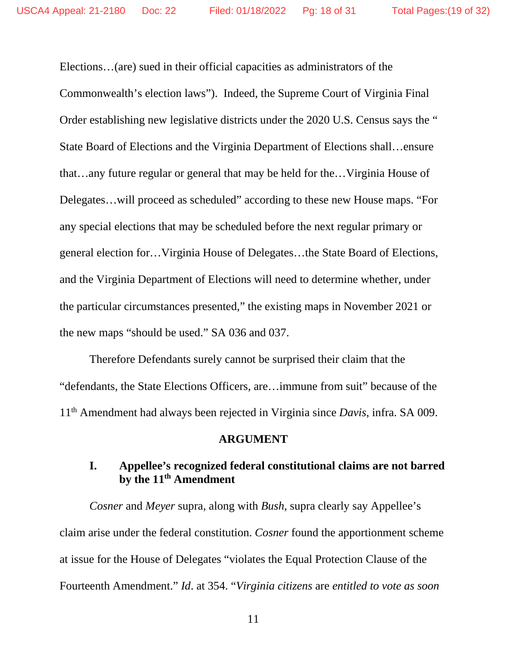Elections…(are) sued in their official capacities as administrators of the Commonwealth's election laws"). Indeed, the Supreme Court of Virginia Final Order establishing new legislative districts under the 2020 U.S. Census says the " State Board of Elections and the Virginia Department of Elections shall…ensure that…any future regular or general that may be held for the…Virginia House of Delegates…will proceed as scheduled" according to these new House maps. "For any special elections that may be scheduled before the next regular primary or general election for…Virginia House of Delegates…the State Board of Elections, and the Virginia Department of Elections will need to determine whether, under the particular circumstances presented," the existing maps in November 2021 or the new maps "should be used." SA 036 and 037.

Therefore Defendants surely cannot be surprised their claim that the "defendants, the State Elections Officers, are…immune from suit" because of the 11th Amendment had always been rejected in Virginia since *Davis*, infra. SA 009.

#### **ARGUMENT**

## **I. Appellee's recognized federal constitutional claims are not barred by the 11th Amendment**

*Cosner* and *Meyer* supra, along with *Bush*, supra clearly say Appellee's claim arise under the federal constitution. *Cosner* found the apportionment scheme at issue for the House of Delegates "violates the Equal Protection Clause of the Fourteenth Amendment." *Id*. at 354. "*Virginia citizens* are *entitled to vote as soon*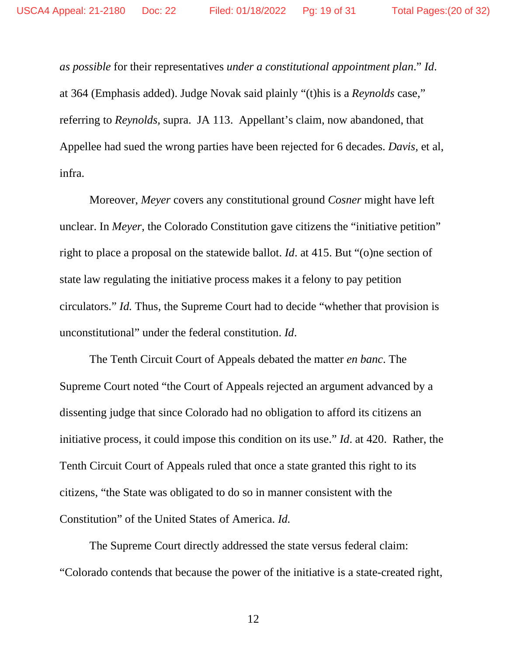*as possible* for their representatives *under a constitutional appointment plan*." *Id*. at 364 (Emphasis added). Judge Novak said plainly "(t)his is a *Reynolds* case," referring to *Reynolds,* supra. JA 113. Appellant's claim, now abandoned, that Appellee had sued the wrong parties have been rejected for 6 decades. *Davis,* et al, infra.

Moreover, *Meyer* covers any constitutional ground *Cosner* might have left unclear. In *Meyer*, the Colorado Constitution gave citizens the "initiative petition" right to place a proposal on the statewide ballot. *Id*. at 415. But "(o)ne section of state law regulating the initiative process makes it a felony to pay petition circulators." *Id.* Thus, the Supreme Court had to decide "whether that provision is unconstitutional" under the federal constitution. *Id*.

The Tenth Circuit Court of Appeals debated the matter *en banc*. The Supreme Court noted "the Court of Appeals rejected an argument advanced by a dissenting judge that since Colorado had no obligation to afford its citizens an initiative process, it could impose this condition on its use." *Id*. at 420. Rather, the Tenth Circuit Court of Appeals ruled that once a state granted this right to its citizens, "the State was obligated to do so in manner consistent with the Constitution" of the United States of America. *Id.*

The Supreme Court directly addressed the state versus federal claim: "Colorado contends that because the power of the initiative is a state-created right,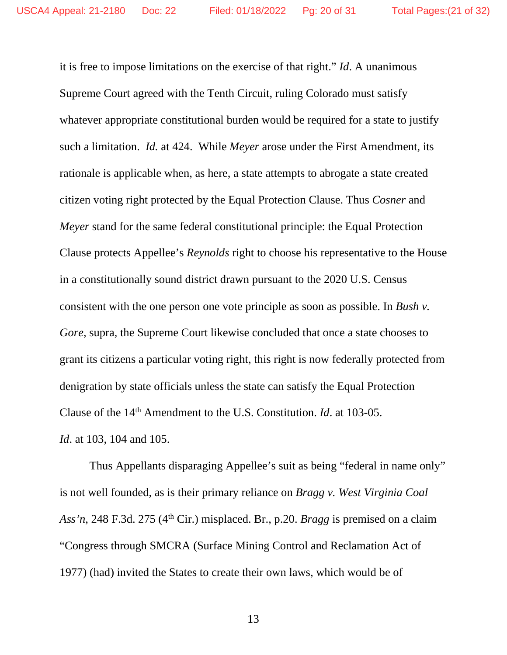it is free to impose limitations on the exercise of that right." *Id*. A unanimous Supreme Court agreed with the Tenth Circuit, ruling Colorado must satisfy whatever appropriate constitutional burden would be required for a state to justify such a limitation. *Id.* at 424. While *Meyer* arose under the First Amendment, its rationale is applicable when, as here, a state attempts to abrogate a state created citizen voting right protected by the Equal Protection Clause. Thus *Cosner* and *Meyer* stand for the same federal constitutional principle: the Equal Protection Clause protects Appellee's *Reynolds* right to choose his representative to the House in a constitutionally sound district drawn pursuant to the 2020 U.S. Census consistent with the one person one vote principle as soon as possible. In *Bush v. Gore*, supra, the Supreme Court likewise concluded that once a state chooses to grant its citizens a particular voting right, this right is now federally protected from denigration by state officials unless the state can satisfy the Equal Protection Clause of the 14th Amendment to the U.S. Constitution. *Id*. at 103-05. *Id*. at 103, 104 and 105.

Thus Appellants disparaging Appellee's suit as being "federal in name only" is not well founded, as is their primary reliance on *Bragg v. West Virginia Coal Ass'n*, 248 F.3d. 275 (4<sup>th</sup> Cir.) misplaced. Br., p.20. *Bragg* is premised on a claim "Congress through SMCRA (Surface Mining Control and Reclamation Act of 1977) (had) invited the States to create their own laws, which would be of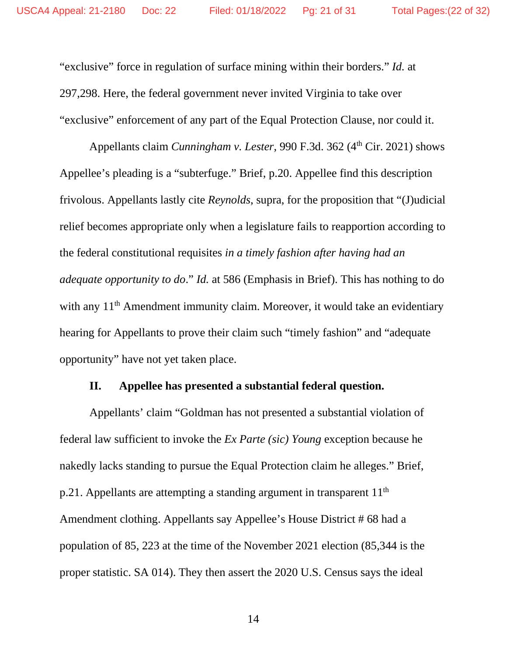"exclusive" force in regulation of surface mining within their borders." *Id.* at 297,298. Here, the federal government never invited Virginia to take over "exclusive" enforcement of any part of the Equal Protection Clause, nor could it.

Appellants claim *Cunningham v. Lester*, 990 F.3d. 362 (4<sup>th</sup> Cir. 2021) shows Appellee's pleading is a "subterfuge." Brief, p.20. Appellee find this description frivolous. Appellants lastly cite *Reynolds*, supra, for the proposition that "(J)udicial relief becomes appropriate only when a legislature fails to reapportion according to the federal constitutional requisites *in a timely fashion after having had an adequate opportunity to do*." *Id.* at 586 (Emphasis in Brief). This has nothing to do with any 11<sup>th</sup> Amendment immunity claim. Moreover, it would take an evidentiary hearing for Appellants to prove their claim such "timely fashion" and "adequate opportunity" have not yet taken place.

#### **II. Appellee has presented a substantial federal question.**

Appellants' claim "Goldman has not presented a substantial violation of federal law sufficient to invoke the *Ex Parte (sic) Young* exception because he nakedly lacks standing to pursue the Equal Protection claim he alleges." Brief, p.21. Appellants are attempting a standing argument in transparent 11<sup>th</sup> Amendment clothing. Appellants say Appellee's House District # 68 had a population of 85, 223 at the time of the November 2021 election (85,344 is the proper statistic. SA 014). They then assert the 2020 U.S. Census says the ideal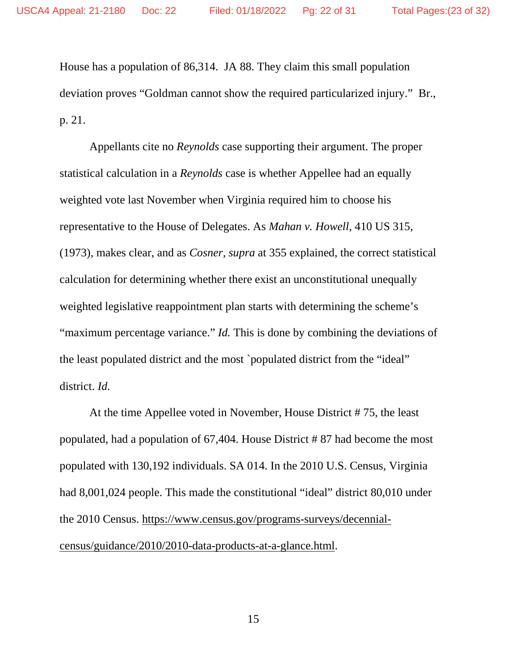House has a population of 86,314. JA 88. They claim this small population deviation proves "Goldman cannot show the required particularized injury." Br., p. 21.

Appellants cite no *Reynolds* case supporting their argument. The proper statistical calculation in a *Reynolds* case is whether Appellee had an equally weighted vote last November when Virginia required him to choose his representative to the House of Delegates. As *Mahan v. Howell*, 410 US 315, (1973), makes clear, and as *Cosner, supra* at 355 explained, the correct statistical calculation for determining whether there exist an unconstitutional unequally weighted legislative reappointment plan starts with determining the scheme's "maximum percentage variance." *Id*. This is done by combining the deviations of the least populated district and the most `populated district from the "ideal" district. *Id.*

At the time Appellee voted in November, House District # 75, the least populated, had a population of 67,404. House District # 87 had become the most populated with 130,192 individuals. SA 014. In the 2010 U.S. Census, Virginia had 8,001,024 people. This made the constitutional "ideal" district 80,010 under the 2010 Census. [https://www.census.gov/programs-surveys/decennial](https://www.census.gov/programs-surveys/decennial-census/guidance/2010/2010-data-products-at-a-glance.html)[census/guidance/2010/2010-data-products-at-a-glance.html.](https://www.census.gov/programs-surveys/decennial-census/guidance/2010/2010-data-products-at-a-glance.html)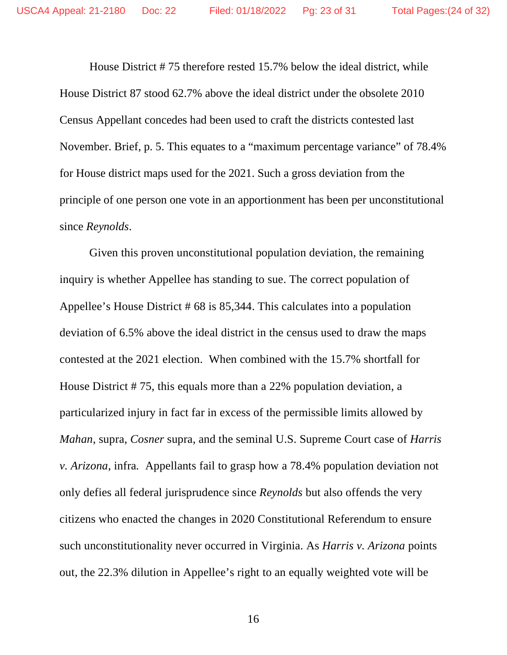House District # 75 therefore rested 15.7% below the ideal district, while House District 87 stood 62.7% above the ideal district under the obsolete 2010 Census Appellant concedes had been used to craft the districts contested last November. Brief, p. 5. This equates to a "maximum percentage variance" of 78.4% for House district maps used for the 2021. Such a gross deviation from the principle of one person one vote in an apportionment has been per unconstitutional since *Reynolds*.

Given this proven unconstitutional population deviation, the remaining inquiry is whether Appellee has standing to sue. The correct population of Appellee's House District # 68 is 85,344. This calculates into a population deviation of 6.5% above the ideal district in the census used to draw the maps contested at the 2021 election. When combined with the 15.7% shortfall for House District # 75, this equals more than a 22% population deviation, a particularized injury in fact far in excess of the permissible limits allowed by *Mahan*, supra, *Cosner* supra, and the seminal U.S. Supreme Court case of *Harris v. Arizona*, infra*.* Appellants fail to grasp how a 78.4% population deviation not only defies all federal jurisprudence since *Reynolds* but also offends the very citizens who enacted the changes in 2020 Constitutional Referendum to ensure such unconstitutionality never occurred in Virginia. As *Harris v. Arizona* points out, the 22.3% dilution in Appellee's right to an equally weighted vote will be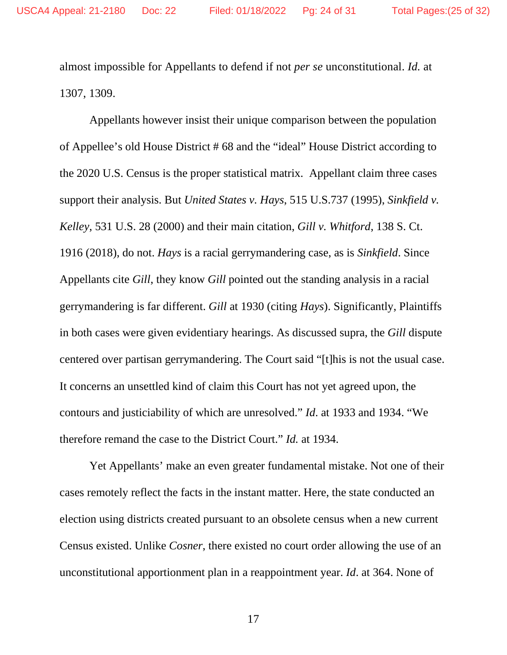almost impossible for Appellants to defend if not *per se* unconstitutional. *Id.* at 1307, 1309.

Appellants however insist their unique comparison between the population of Appellee's old House District # 68 and the "ideal" House District according to the 2020 U.S. Census is the proper statistical matrix. Appellant claim three cases support their analysis. But *United States v. Hays*, 515 U.S.737 (1995), *Sinkfield v. Kelley*, 531 U.S. 28 (2000) and their main citation, *Gill v. Whitford*, 138 S. Ct. 1916 (2018), do not. *Hays* is a racial gerrymandering case, as is *Sinkfield*. Since Appellants cite *Gill*, they know *Gill* pointed out the standing analysis in a racial gerrymandering is far different. *Gill* at 1930 (citing *Hays*). Significantly, Plaintiffs in both cases were given evidentiary hearings. As discussed supra, the *Gill* dispute centered over partisan gerrymandering. The Court said "[t]his is not the usual case. It concerns an unsettled kind of claim this Court has not yet agreed upon, the contours and justiciability of which are unresolved." *Id*. at 1933 and 1934. "We therefore remand the case to the District Court." *Id.* at 1934.

Yet Appellants' make an even greater fundamental mistake. Not one of their cases remotely reflect the facts in the instant matter. Here, the state conducted an election using districts created pursuant to an obsolete census when a new current Census existed. Unlike *Cosner*, there existed no court order allowing the use of an unconstitutional apportionment plan in a reappointment year. *Id*. at 364. None of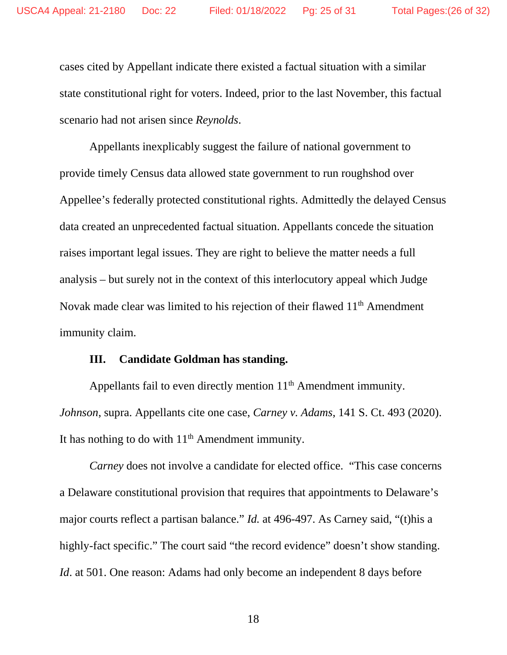cases cited by Appellant indicate there existed a factual situation with a similar state constitutional right for voters. Indeed, prior to the last November, this factual scenario had not arisen since *Reynolds*.

Appellants inexplicably suggest the failure of national government to provide timely Census data allowed state government to run roughshod over Appellee's federally protected constitutional rights. Admittedly the delayed Census data created an unprecedented factual situation. Appellants concede the situation raises important legal issues. They are right to believe the matter needs a full analysis – but surely not in the context of this interlocutory appeal which Judge Novak made clear was limited to his rejection of their flawed 11<sup>th</sup> Amendment immunity claim.

#### **III. Candidate Goldman has standing.**

Appellants fail to even directly mention 11<sup>th</sup> Amendment immunity. *Johnson*, supra. Appellants cite one case, *Carney v. Adams*, 141 S. Ct. 493 (2020). It has nothing to do with  $11<sup>th</sup>$  Amendment immunity.

*Carney* does not involve a candidate for elected office. "This case concerns a Delaware constitutional provision that requires that appointments to Delaware's major courts reflect a partisan balance." *Id.* at 496-497. As Carney said, "(t)his a highly-fact specific." The court said "the record evidence" doesn't show standing. *Id.* at 501. One reason: Adams had only become an independent 8 days before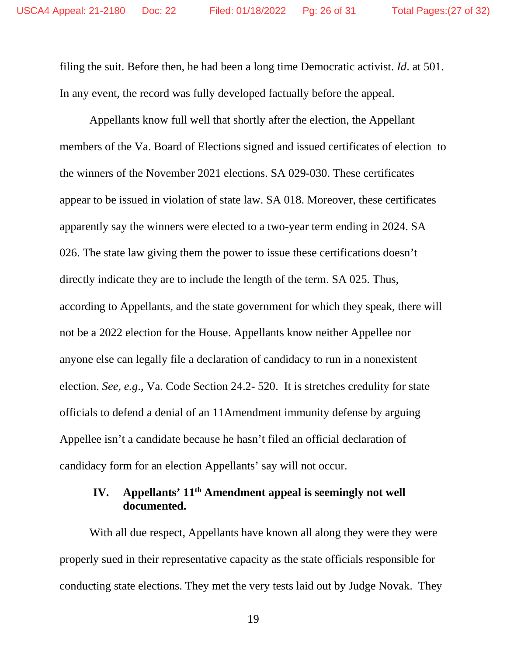filing the suit. Before then, he had been a long time Democratic activist. *Id*. at 501. In any event, the record was fully developed factually before the appeal.

Appellants know full well that shortly after the election, the Appellant members of the Va. Board of Elections signed and issued certificates of election to the winners of the November 2021 elections. SA 029-030. These certificates appear to be issued in violation of state law. SA 018. Moreover, these certificates apparently say the winners were elected to a two-year term ending in 2024. SA 026. The state law giving them the power to issue these certifications doesn't directly indicate they are to include the length of the term. SA 025. Thus, according to Appellants, and the state government for which they speak, there will not be a 2022 election for the House. Appellants know neither Appellee nor anyone else can legally file a declaration of candidacy to run in a nonexistent election. *See, e.g*., Va. Code Section 24.2- 520. It is stretches credulity for state officials to defend a denial of an 11Amendment immunity defense by arguing Appellee isn't a candidate because he hasn't filed an official declaration of candidacy form for an election Appellants' say will not occur.

## **IV. Appellants' 11th Amendment appeal is seemingly not well documented.**

With all due respect, Appellants have known all along they were they were properly sued in their representative capacity as the state officials responsible for conducting state elections. They met the very tests laid out by Judge Novak. They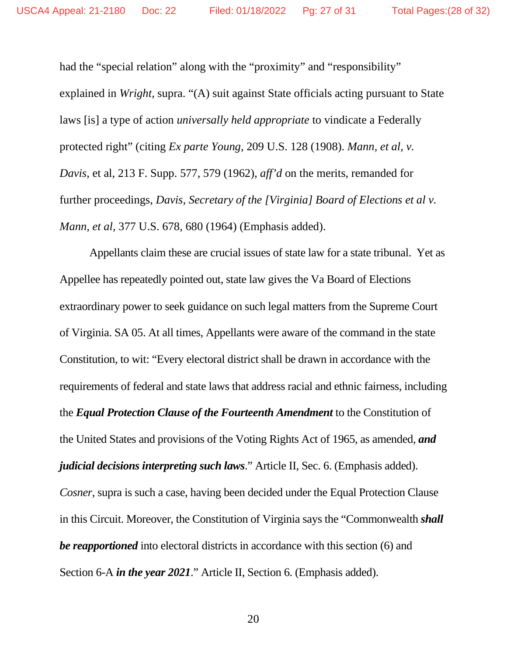had the "special relation" along with the "proximity" and "responsibility" explained in *Wright*, supra. "(A) suit against State officials acting pursuant to State laws [is] a type of action *universally held appropriate* to vindicate a Federally protected right" (citing *Ex parte Young*, 209 U.S. 128 (1908). *Mann, et al, v. Davis*, et al, 213 F. Supp. 577, 579 (1962), *aff'd* on the merits, remanded for further proceedings, *Davis, Secretary of the [Virginia] Board of Elections et al v. Mann, et al,* 377 U.S. 678, 680 (1964) (Emphasis added).

Appellants claim these are crucial issues of state law for a state tribunal. Yet as Appellee has repeatedly pointed out, state law gives the Va Board of Elections extraordinary power to seek guidance on such legal matters from the Supreme Court of Virginia. SA 05. At all times, Appellants were aware of the command in the state Constitution, to wit: "Every electoral district shall be drawn in accordance with the requirements of federal and state laws that address racial and ethnic fairness, including the *Equal Protection Clause of the Fourteenth Amendment* to the Constitution of the United States and provisions of the Voting Rights Act of 1965, as amended, *and judicial decisions interpreting such laws*." Article II, Sec. 6. (Emphasis added). *Cosner*, supra is such a case, having been decided under the Equal Protection Clause in this Circuit. Moreover, the Constitution of Virginia says the "Commonwealth *shall be reapportioned* into electoral districts in accordance with this section (6) and Section 6-A *in the year 2021*." Article II, Section 6. (Emphasis added).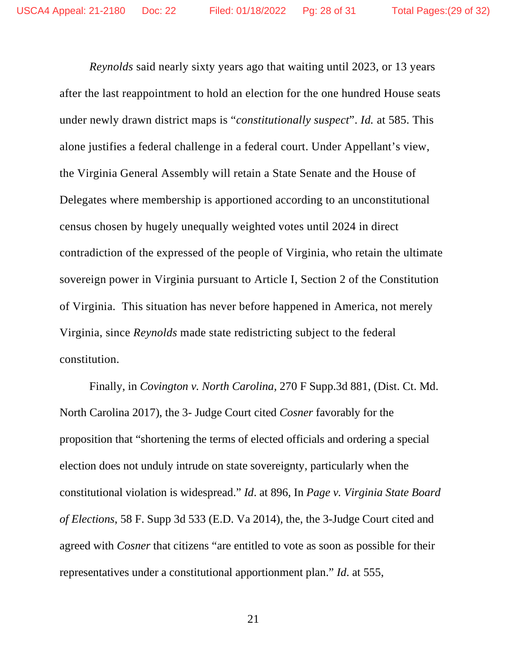*Reynolds* said nearly sixty years ago that waiting until 2023, or 13 years after the last reappointment to hold an election for the one hundred House seats under newly drawn district maps is "*constitutionally suspect*". *Id.* at 585. This alone justifies a federal challenge in a federal court. Under Appellant's view, the Virginia General Assembly will retain a State Senate and the House of Delegates where membership is apportioned according to an unconstitutional census chosen by hugely unequally weighted votes until 2024 in direct contradiction of the expressed of the people of Virginia, who retain the ultimate sovereign power in Virginia pursuant to Article I, Section 2 of the Constitution of Virginia. This situation has never before happened in America, not merely Virginia, since *Reynolds* made state redistricting subject to the federal constitution.

Finally, in *Covington v. North Carolina,* 270 F Supp.3d 881, (Dist. Ct. Md. North Carolina 2017), the 3- Judge Court cited *Cosner* favorably for the proposition that "shortening the terms of elected officials and ordering a special election does not unduly intrude on state sovereignty, particularly when the constitutional violation is widespread." *Id*. at 896, In *Page v. Virginia State Board of Elections*, 58 F. Supp 3d 533 (E.D. Va 2014), the, the 3-Judge Court cited and agreed with *Cosner* that citizens "are entitled to vote as soon as possible for their representatives under a constitutional apportionment plan." *Id*. at 555,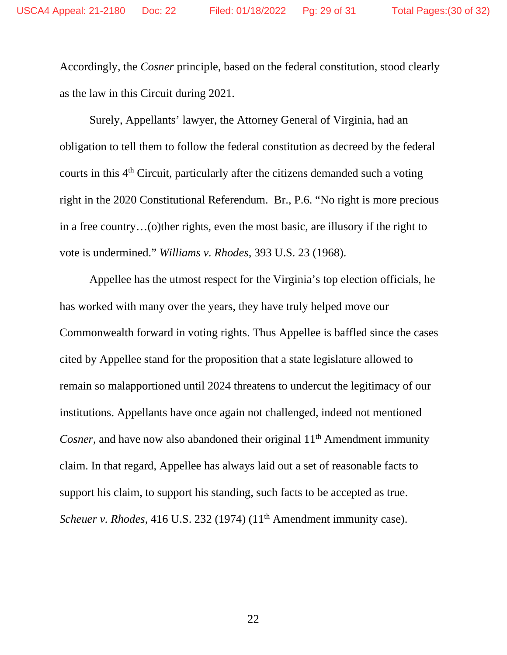Accordingly, the *Cosner* principle, based on the federal constitution, stood clearly as the law in this Circuit during 2021.

Surely, Appellants' lawyer, the Attorney General of Virginia, had an obligation to tell them to follow the federal constitution as decreed by the federal courts in this  $4<sup>th</sup>$  Circuit, particularly after the citizens demanded such a voting right in the 2020 Constitutional Referendum. Br., P.6. "No right is more precious in a free country…(o)ther rights, even the most basic, are illusory if the right to vote is undermined." *Williams v. Rhodes*, 393 U.S. 23 (1968).

Appellee has the utmost respect for the Virginia's top election officials, he has worked with many over the years, they have truly helped move our Commonwealth forward in voting rights. Thus Appellee is baffled since the cases cited by Appellee stand for the proposition that a state legislature allowed to remain so malapportioned until 2024 threatens to undercut the legitimacy of our institutions. Appellants have once again not challenged, indeed not mentioned *Cosner*, and have now also abandoned their original 11<sup>th</sup> Amendment immunity claim. In that regard, Appellee has always laid out a set of reasonable facts to support his claim, to support his standing, such facts to be accepted as true. *Scheuer v. Rhodes*, 416 U.S. 232 (1974) (11<sup>th</sup> Amendment immunity case).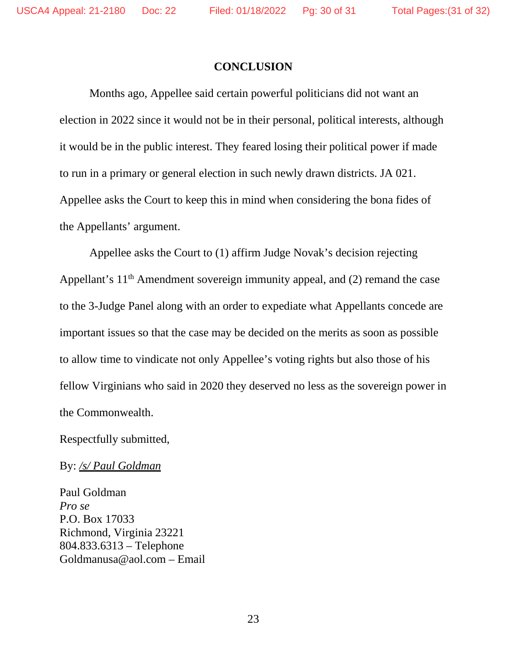#### **CONCLUSION**

Months ago, Appellee said certain powerful politicians did not want an election in 2022 since it would not be in their personal, political interests, although it would be in the public interest. They feared losing their political power if made to run in a primary or general election in such newly drawn districts. JA 021. Appellee asks the Court to keep this in mind when considering the bona fides of the Appellants' argument.

Appellee asks the Court to (1) affirm Judge Novak's decision rejecting Appellant's 11<sup>th</sup> Amendment sovereign immunity appeal, and (2) remand the case to the 3-Judge Panel along with an order to expediate what Appellants concede are important issues so that the case may be decided on the merits as soon as possible to allow time to vindicate not only Appellee's voting rights but also those of his fellow Virginians who said in 2020 they deserved no less as the sovereign power in the Commonwealth.

Respectfully submitted,

By: */s/ Paul Goldman*

Paul Goldman *Pro se*  P.O. Box 17033 Richmond, Virginia 23221 804.833.6313 – Telephone Goldmanusa@aol.com – Email